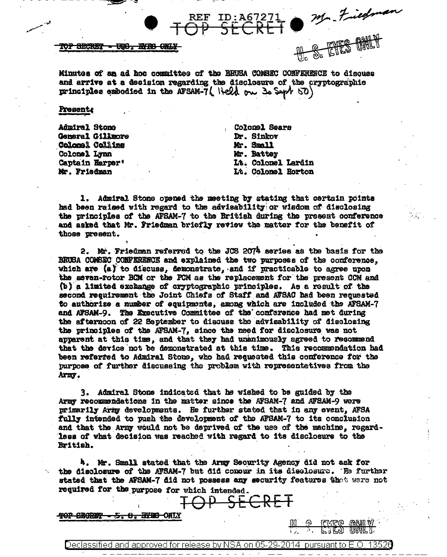Mr. Fiedman

TOP SECRET - UGG. EFES ORL

Minutes of an ad hoc committee of the RRUSA COMSEC CONFERENCE to discuss and arrive at a decision regarding the disclosure of the cryptographic principles embodied in the AFSAM-7( Held on 30 Sept 50)

Present

Admiral Stone General Gillmore Coloral Collins Colonel Lynn Captain Harper' Mr. Friedman

Colomel Sears Dr. Sinkov Mr. Small Mr. Battey Lt. Colonel Lardin Lt. Colonel Horton

1. Admiral Stone opened the meeting by stating that certain points had been raised with regard to the advisability or wisdom of disclosing the principles of the AFSAM-7 to the British during the present conference and asked that Mr. Friedman briefly review the matter for the benefit of those present.

2. Mr. Friedman referred to the JCS 2074 series as the basis for the BRUSA COMSEC CONFERENCE and explained the two purposes of the conference. which are  $(a)$  to discuss, demonstrate, and if muscticable to agree upon the seven-rotor BCM or the PCM as the replacement for the present CCM and (b) a limited exchange of cryptographic principles. As a result of the second requirement the Joint Chiefs of Staff and ATSAC had been requested to authorize a number of equipments, among which are included the AFSAM-7 and AFSAM-9. The Executive Committee of the conference had met during the afternoon of 22 September to discuss the advisability of disclosing the principles of the AFSAM-7, since the need for disclosure was not apparent at this time, and that they had unanimously agreed to recommend that the device not be demonstrated at this time. This recommendation had been referred to Admiral Stone, who had requested this conference for the purpose of further discussing the problem with representatives from the Army.

3. Admiral Stone indicated that he wished to be guided by the Army recommendations in the matter since the AFSAM-7 and AFSAM-9 were primarily Army developments. He further stated that in any event, AFSA fully intended to push the development of the AFSAM-7 to its conclusion and that the Army would not be deprived of the use of the machine, regardless of what decision was reached with regard to its disclosure to the British.

4. Mr. Small stated that the Army Security Agency did not ask for the disclosure of the ATSAM-7 but did conour in its disclosure. The further stated that the AFSAM-7 did not possess any security features thot were not required for the purpose for which intended.

Declassified and approved for release by NSA on 05-29-2014

SECRET

TOP SECRET - 5. 8. BYES ONLY

 $\frac{1}{2}$  oursuant to  $\vdash$  ( )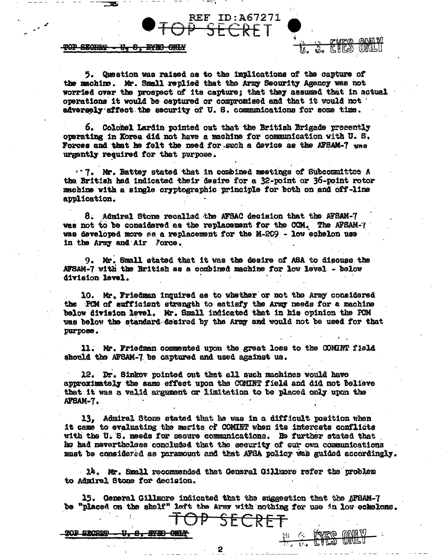## TOP SEGRET - U. S. BYED OWNY

5. Question was raised as to the implications of the capture of the machine. Mr. Small replied that the Army Security Agency was not worried over the prospect of its capture; that they assumed that in actual operations it would be captured or compromised and that it would not adversely affect the security of U.S. communications for some time.

ref\_id:a67271<br><del>P\_SECRE</del>T\_

6. Colonel Lardin pointed out that the British Brigade presently operating in Korea did not have a machine for communication with U.S. Forces and that he felt the meed for such a device as the AFSAM-7 was urgently required for that purpose.

. T. Mr. Battey stated that in combined meetings of Subcommittee A the British had indicated their desire for a 32-point or 36-point rotor machine with a single cryptographic principle for both on and off-line application.

8. Admiral Stone recalled the AFSAC decision that the AFSAM-7 was not to be considered as the replacement for the CCM. The AFSAM-7 was developed more as a replacement for the M-209 - low echelon use in the Army and Air Force.

9. Mr. Small stated that it was the desire of ASA to discuss the AFSAM-7 with the British as a combined machine for low level - below division level.

10. Mr. Friedman inquired as to whether or not the Army considered the FCM of sufficient strength to satisfy the Army needs for a machine below division level. Mr. Small indicated that in his opinion the PCM was below the standard desired by the Army and would not be used for that purpose.

11. Mr. Friedman commented upon the great loss to the COMINT field should the AFSAM-7 be captured and used against us.

12. Dr. Sinkov pointed out that all such machines would have approximately the same effect upon the COMINT field and did not believe that it was a valid argument or limitation to be placed only upon the AFSAM-7.

13. Admiral Stone stated that he was in a difficult position when it came to evaluating the marits of COMINT when its interests conflicts with the U.S. needs for secure communications. He further stated that he had nevertheless concluded that the security of our own communications must be considered as paramount and that AFBA policy was guided accordingly.

14. Mr. Small recommended that General Gillmore refer the problem to Admiral Stone for decision.

15. General Gillmore indicated that the suggestion that the AFSAM-7 be "placed on the shelf" left the Army with nothing for use in low echelons.

SECRET

FU & FORCE ONEY

TOP SECRET <del>. U.S. BYDD ONLY</del>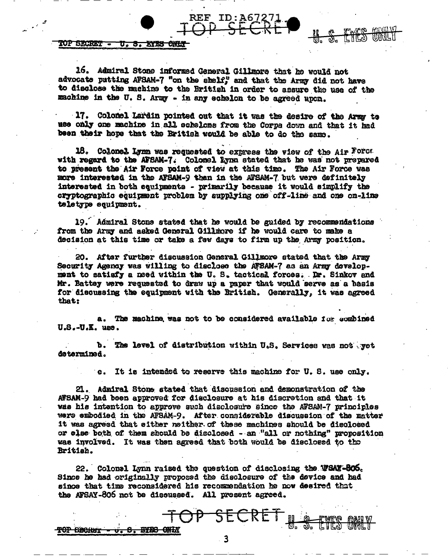**TOP SECRET -**<u> U.S. XIXS ONIS</u>

TOP SECRET -

<del>o. S. BYBS ONL</del>Y

16. Admiral Stone informed General Gillmore that he would not advocate putting AFSAM-7 "on the shelf," and that the Army did not have to disclose the machine to the British in order to assure the use of the machine in the U.S. Army - in any echolon to be agreed upon.

<u>CILO</u>

ऊ.

REF

17. Colomel Lardin pointed out that it was the desire of the Arms to use only one machine in all echelons from the Corpa down and that it had been their hope that the British would be able to do the same.

18. Colonel Lynn was requested to express the view of the Air Forca with regard to the AFSAM-7. Colonel Lynn stated that he was not prepared to present the Air Force point of view at this time. The Air Force was more interested in the AFSAM-9 than in the AFSAM-7 but were definitely interested in both equipments - primarily because it would simplify the cryptographic equipment problem by supplying one off-line and one on-line teletype equipment.

19. Admiral Stone stated that he would be guided by recommendations from the Army and asked General Gillmore if he would care to make a decision at this time or take a few days to firm up the Army position.

20. After further discussion General Gillmore stated that the Army Security Agency was willing to disclose the AFSAM-7 as an Army development to satisfy a need within the U.S. tactical forces. Dr. Sinkov and Mr. Battey were requested to draw up a paper that would serve as a basis for discussing the equipment with the British. Generally, it was agreed that:

a. The machine was not to be considered available for combined  $U.S.-U.E.$  use.

b. The level of distribution within U.S. Services was not yet determined.

> It is intended to reserve this machine for U.S. use only.  $\Omega$ .

21. Admiral Stone stated that discussion and demonstration of the AFSAM-9 had been approved for disclosure at his discretion and that it was his intention to approve such disclosure since the AFSAM-7 principles were embodied in the AFSAM-9. After considerable discussion of the matter it was agreed that either neither of these machines should be disclosed or else both of them should be disclosed - an "all or nothing" proposition was involved. It was then agreed that both would be disclosed to the British.

22. Colonel Lynn raised the question of disclosing the WSAY-806. Since he had originally proposed the disclosure of the device and had since that time reconsidered his recommendation he now desired that the AFSAY-806 not be discussed. All present agreed.

 $\overline{\mathbf{3}}$